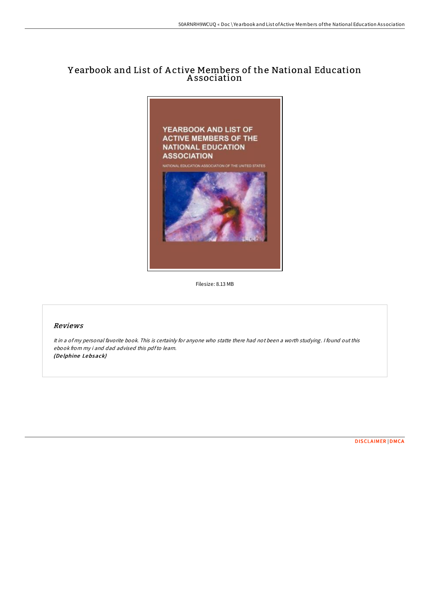## Y earbook and List of A ctive Members of the National Education A ssociation



Filesize: 8.13 MB

## Reviews

It in <sup>a</sup> of my personal favorite book. This is certainly for anyone who statte there had not been <sup>a</sup> worth studying. <sup>I</sup> found out this ebook from my i and dad advised this pdfto learn. (De lphine Lebsack)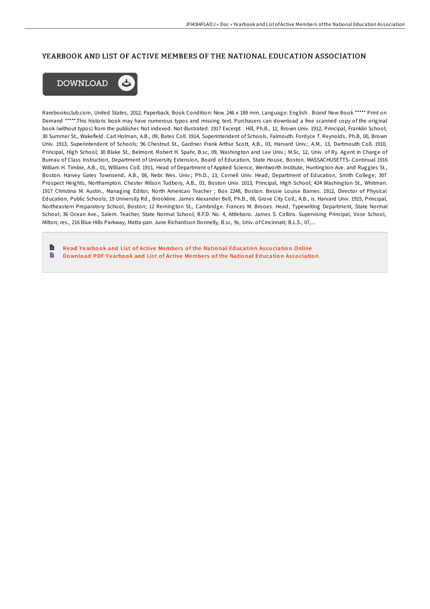## YEARBOOK AND LIST OF ACTIVE MEMBERS OF THE NATIONAL EDUCATION ASSOCIATION



Rarebooksclub.com, United States, 2012. Paperback. Book Condition: New. 246 x 189 mm. Language: English . Brand New Book \*\*\*\*\* Print on Demand \*\*\*\*\*.This historic book may have numerous typos and missing text. Purchasers can download a free scanned copy of the original book (without typos) from the publisher. Not indexed. Not illustrated. 1917 Excerpt: . Hill, Ph.B., 12, Brown Univ. 1912, Principal, Franklin School; 30 Summer St., Wakefield. Carl Holman, A.B., 09, Bates Coll. 1914, Superintendent of Schools, Falmouth. Fordyce T. Reynolds, Ph.B, 00, Brown Univ. 1913, Superintendent of Schools; 96 Chestnut St., Gardner. Frank Arthur Scott, A.B., 03, Harvard Univ.; A.M., 13, Dartmouth Coll. 1910, Principal, High School; 30 Blake St., Belmont. Robert H. Spahr, B.sc, 09, Washington and Lee Univ.; M.Sc, 12, Univ. of Ry. Agent in Charge of Bureau of Class Instruction, Department of University Extension, Board of Education, State House, Boston. MASSACHUSETTS--Continual 1916 William H. Timbie, A.B., 01, Williams Coll. 1911, Head of Department of Applied Science, Wentworth Institute, Huntington Ave. and Ruggles St., Boston. Harvey Gates Townsend, A.B., 08, Nebr. Wes. Univ.; Ph.D., 13, Cornell Univ. Head, Department of Education, Smith College; 307 Prospect Heights, Northampton. Chester Wilson Tudbory, A.B., 03, Boston Univ. 1013, Principal, High School; 424 Washington St., Whitman. 1917 Christina M. Austin., Managing Editor, North American Teacher ; Box 2248, Boston. Bessie Louise Barnes. 1912, Director of Physical Education, Public Schools; 19 University Rd., Brookline. James Alexander Bell, Ph.B., 08, Grove City Coll.; A.B., is. Harvard Univ. 1915, Principal, Northeastern Preparatory School, Boston; 12 Remington St., Cambridge. Frances M. Brooes. Head, Typewriting Department, State Normal School; 36 Ocean Ave., Salem. Teacher, State Normal School; R.F.D. No. 4, Attleboro. James S. Collins. Supervising Principal, Vose School, Milton; res., 216 Blue Hills Parkway, Matta-pan. June Richardson Donnelly, B.sc, 9s, Univ. of Cincinnati; B.L.S., 07,...

E Read Yearbook and List of Active [Membe](http://almighty24.tech/yearbook-and-list-of-active-members-of-the-natio.html)rs of the National Education Association Online B Download PDF Yearbook and List of Active [Membe](http://almighty24.tech/yearbook-and-list-of-active-members-of-the-natio.html)rs of the National Education Association